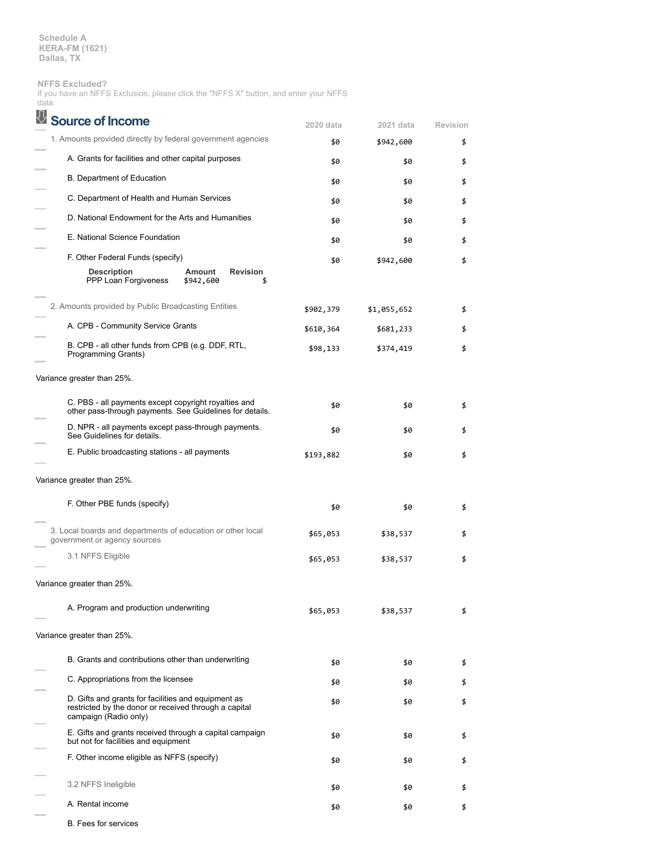**NFFS Excluded?**

If you have an NFFS Exclusion, please click the "NFFS X" button, and enter your NFFS data.

| <b>Source of Income</b>                                                                                                               | 2020 data | 2021 data   | Revision |
|---------------------------------------------------------------------------------------------------------------------------------------|-----------|-------------|----------|
| 1. Amounts provided directly by federal government agencies                                                                           | \$0       | \$942,600   | \$       |
| A. Grants for facilities and other capital purposes                                                                                   | \$0       | \$0         | \$       |
| B. Department of Education                                                                                                            | \$0       | \$0         | \$       |
| C. Department of Health and Human Services                                                                                            | \$0       | \$0         | \$       |
| D. National Endowment for the Arts and Humanities                                                                                     | \$0       | \$0         | \$       |
| E. National Science Foundation                                                                                                        | \$0       | \$0         | \$       |
| F. Other Federal Funds (specify)                                                                                                      | \$0       | \$942,600   | \$       |
| <b>Description</b><br><b>Revision</b><br>Amount<br>PPP Loan Forgiveness<br>\$942,600<br>\$                                            |           |             |          |
| 2. Amounts provided by Public Broadcasting Entities                                                                                   | \$902,379 | \$1,055,652 | \$       |
| A. CPB - Community Service Grants                                                                                                     | \$610,364 | \$681,233   | \$       |
| B. CPB - all other funds from CPB (e.g. DDF, RTL,<br>Programming Grants)                                                              | \$98,133  | \$374,419   | \$       |
| Variance greater than 25%.                                                                                                            |           |             |          |
| C. PBS - all payments except copyright royalties and<br>other pass-through payments. See Guidelines for details.                      | \$0       | \$0         | \$       |
| D. NPR - all payments except pass-through payments.<br>See Guidelines for details.                                                    | \$0       | \$0         | \$       |
| E. Public broadcasting stations - all payments                                                                                        | \$193,882 | \$0         | \$       |
| Variance greater than 25%.                                                                                                            |           |             |          |
| F. Other PBE funds (specify)                                                                                                          | \$0       | \$0         | \$       |
| 3. Local boards and departments of education or other local<br>government or agency sources                                           | \$65,053  | \$38,537    | \$       |
| 3.1 NFFS Eligible                                                                                                                     | \$65,053  | \$38,537    | \$       |
| Variance greater than 25%.                                                                                                            |           |             |          |
| A. Program and production underwriting                                                                                                | \$65,053  | \$38,537    | \$       |
| Variance greater than 25%.                                                                                                            |           |             |          |
| B. Grants and contributions other than underwriting                                                                                   | \$0       | \$0         | \$       |
| C. Appropriations from the licensee                                                                                                   |           | \$0         | \$       |
|                                                                                                                                       | \$0       |             |          |
| D. Gifts and grants for facilities and equipment as<br>restricted by the donor or received through a capital<br>campaign (Radio only) | \$0       | \$0         | \$       |
| E. Gifts and grants received through a capital campaign<br>but not for facilities and equipment                                       | \$0       | \$0         | \$       |
| F. Other income eligible as NFFS (specify)                                                                                            | \$0       | \$0         | \$       |
| 3.2 NFFS Ineligible                                                                                                                   | \$0       | \$0         | \$       |
| A. Rental income                                                                                                                      | \$0       | \$0         | \$       |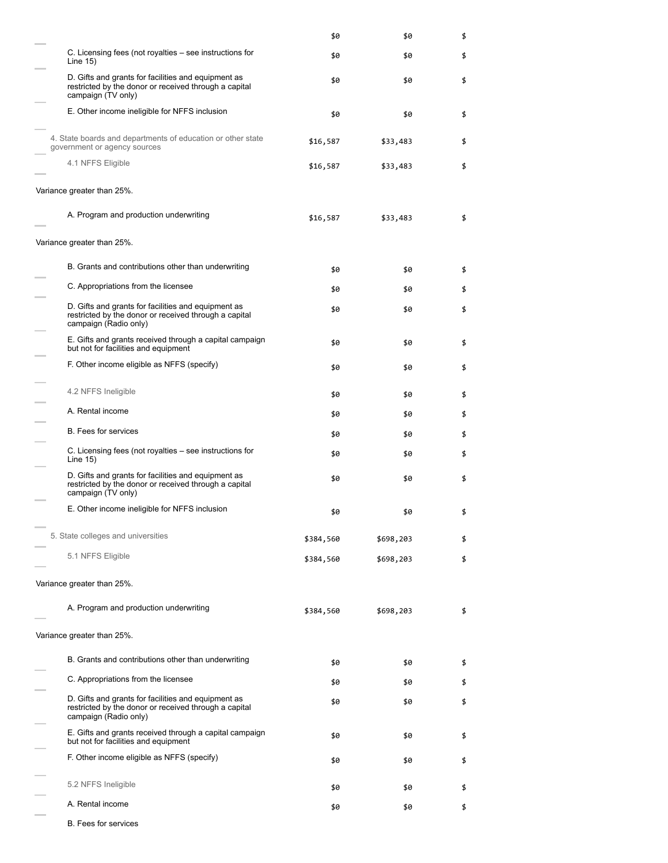|                                                                                                                                       | \$0       | \$0       | \$ |
|---------------------------------------------------------------------------------------------------------------------------------------|-----------|-----------|----|
| C. Licensing fees (not royalties – see instructions for<br>Line $15$ )                                                                | \$0       | \$0       | \$ |
| D. Gifts and grants for facilities and equipment as<br>restricted by the donor or received through a capital<br>campaign (TV only)    | \$0       | \$0       | \$ |
| E. Other income ineligible for NFFS inclusion                                                                                         | \$0       | \$0       | \$ |
| 4. State boards and departments of education or other state<br>government or agency sources                                           | \$16,587  | \$33,483  | \$ |
| 4.1 NFFS Eligible                                                                                                                     | \$16,587  | \$33,483  | \$ |
| Variance greater than 25%.                                                                                                            |           |           |    |
| A. Program and production underwriting                                                                                                | \$16,587  | \$33,483  | \$ |
| Variance greater than 25%.                                                                                                            |           |           |    |
| B. Grants and contributions other than underwriting                                                                                   | \$0       | \$0       | \$ |
| C. Appropriations from the licensee                                                                                                   | \$0       | \$0       | \$ |
| D. Gifts and grants for facilities and equipment as<br>restricted by the donor or received through a capital<br>campaign (Radio only) | \$0       | \$0       | \$ |
| E. Gifts and grants received through a capital campaign<br>but not for facilities and equipment                                       | \$0       | \$0       | \$ |
| F. Other income eligible as NFFS (specify)                                                                                            | \$0       | \$0       | \$ |
| 4.2 NFFS Ineligible                                                                                                                   | \$0       | \$0       | \$ |
| A. Rental income                                                                                                                      | \$0       | \$0       | \$ |
| <b>B.</b> Fees for services                                                                                                           | \$0       | \$0       | \$ |
| C. Licensing fees (not royalties – see instructions for<br>Line $15)$                                                                 | \$0       | \$0       | \$ |
| D. Gifts and grants for facilities and equipment as<br>restricted by the donor or received through a capital<br>campaign (TV only)    | \$0       | \$0       | \$ |
| E. Other income ineligible for NFFS inclusion                                                                                         | \$0       | \$0       | \$ |
| 5. State colleges and universities                                                                                                    | \$384,560 | \$698,203 | \$ |
| 5.1 NFFS Eligible                                                                                                                     | \$384,560 | \$698,203 | \$ |
| Variance greater than 25%.                                                                                                            |           |           |    |
| A. Program and production underwriting                                                                                                | \$384,560 | \$698,203 | \$ |
| Variance greater than 25%.                                                                                                            |           |           |    |
| B. Grants and contributions other than underwriting                                                                                   | \$0       | \$0       | \$ |
| C. Appropriations from the licensee                                                                                                   | \$0       | \$0       | \$ |
| D. Gifts and grants for facilities and equipment as<br>restricted by the donor or received through a capital<br>campaign (Radio only) | \$0       | \$0       | \$ |
| E. Gifts and grants received through a capital campaign<br>but not for facilities and equipment                                       | \$0       | \$0       | \$ |
| F. Other income eligible as NFFS (specify)                                                                                            | \$0       | \$0       | \$ |
| 5.2 NFFS Ineligible                                                                                                                   | \$0       | \$0       | \$ |
| A. Rental income                                                                                                                      | \$0       | \$0       | \$ |
| <b>B.</b> Fees for services                                                                                                           |           |           |    |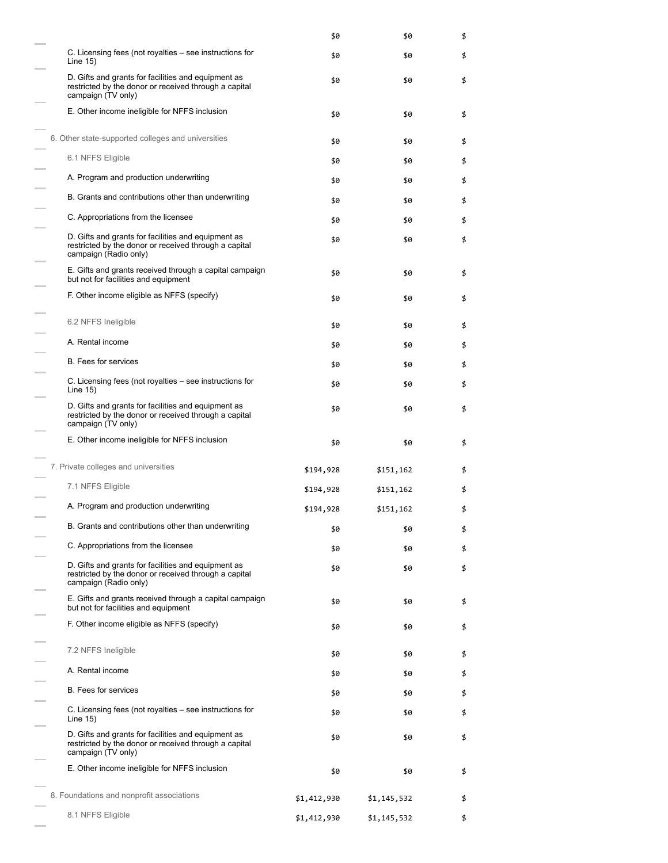|                                                                                                                                       | \$0         | \$0         | \$ |
|---------------------------------------------------------------------------------------------------------------------------------------|-------------|-------------|----|
| C. Licensing fees (not royalties – see instructions for<br>Line 15)                                                                   | \$0         | \$0         | \$ |
| D. Gifts and grants for facilities and equipment as<br>restricted by the donor or received through a capital<br>campaign (TV only)    | \$0         | \$0         | \$ |
| E. Other income ineligible for NFFS inclusion                                                                                         | \$0         | \$0         | \$ |
| 6. Other state-supported colleges and universities                                                                                    | \$0         | \$0         | \$ |
| 6.1 NFFS Eligible                                                                                                                     | \$0         | \$0         | \$ |
| A. Program and production underwriting                                                                                                | \$0         | \$0         | \$ |
| B. Grants and contributions other than underwriting                                                                                   | \$0         | \$0         | \$ |
| C. Appropriations from the licensee                                                                                                   | \$0         | \$0         | \$ |
| D. Gifts and grants for facilities and equipment as<br>restricted by the donor or received through a capital<br>campaign (Radio only) | \$0         | \$0         | \$ |
| E. Gifts and grants received through a capital campaign<br>but not for facilities and equipment                                       | \$0         | \$0         | \$ |
| F. Other income eligible as NFFS (specify)                                                                                            | \$0         | \$0         | \$ |
| 6.2 NFFS Ineligible                                                                                                                   | \$0         | \$0         | \$ |
| A. Rental income                                                                                                                      | \$0         | \$0         | \$ |
| <b>B.</b> Fees for services                                                                                                           | \$0         | \$0         | \$ |
| C. Licensing fees (not royalties – see instructions for<br>Line 15)                                                                   | \$0         | \$0         | \$ |
| D. Gifts and grants for facilities and equipment as<br>restricted by the donor or received through a capital<br>campaign (TV only)    | \$0         | \$0         | \$ |
| E. Other income ineligible for NFFS inclusion                                                                                         | \$0         | \$0         | \$ |
| 7. Private colleges and universities                                                                                                  | \$194,928   | \$151,162   | \$ |
| 7.1 NFFS Eligible                                                                                                                     | \$194,928   | \$151,162   | \$ |
| A. Program and production underwriting                                                                                                | \$194,928   | \$151,162   | \$ |
| B. Grants and contributions other than underwriting                                                                                   | \$0         | \$0         | \$ |
| C. Appropriations from the licensee                                                                                                   | \$0         | \$0         | \$ |
| D. Gifts and grants for facilities and equipment as<br>restricted by the donor or received through a capital<br>campaign (Radio only) | \$0         | \$0         | \$ |
| E. Gifts and grants received through a capital campaign<br>but not for facilities and equipment                                       | \$0         | \$0         | \$ |
| F. Other income eligible as NFFS (specify)                                                                                            | \$0         | \$0         | \$ |
| 7.2 NFFS Ineligible                                                                                                                   | \$0         | \$0         | \$ |
| A. Rental income                                                                                                                      | \$0         | \$0         | \$ |
| <b>B.</b> Fees for services                                                                                                           | \$0         | \$0         | \$ |
| C. Licensing fees (not royalties – see instructions for<br>Line 15)                                                                   | \$0         | \$0         | \$ |
| D. Gifts and grants for facilities and equipment as<br>restricted by the donor or received through a capital<br>campaign (TV only)    | \$0         | \$0         | \$ |
| E. Other income ineligible for NFFS inclusion                                                                                         | \$0         | \$0         | \$ |
| 8. Foundations and nonprofit associations                                                                                             | \$1,412,930 | \$1,145,532 | \$ |
| 8.1 NFFS Eligible                                                                                                                     | \$1,412,930 | \$1,145,532 | \$ |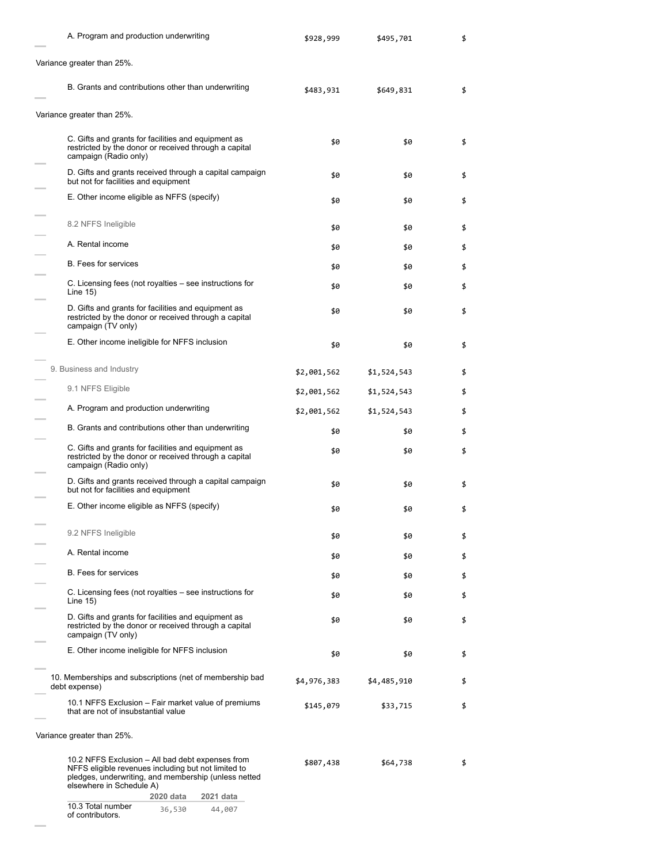| A. Program and production underwriting                                                                                                                                                                                | \$928,999   | \$495,701   | \$ |
|-----------------------------------------------------------------------------------------------------------------------------------------------------------------------------------------------------------------------|-------------|-------------|----|
| Variance greater than 25%.                                                                                                                                                                                            |             |             |    |
| B. Grants and contributions other than underwriting                                                                                                                                                                   | \$483,931   | \$649,831   | \$ |
| Variance greater than 25%.                                                                                                                                                                                            |             |             |    |
| C. Gifts and grants for facilities and equipment as<br>restricted by the donor or received through a capital<br>campaign (Radio only)                                                                                 | \$0         | \$0         | \$ |
| D. Gifts and grants received through a capital campaign<br>but not for facilities and equipment                                                                                                                       | \$0         | \$0         | \$ |
| E. Other income eligible as NFFS (specify)                                                                                                                                                                            | \$0         | \$0         | \$ |
| 8.2 NFFS Ineligible                                                                                                                                                                                                   | \$0         | \$0         | \$ |
| A. Rental income                                                                                                                                                                                                      | \$0         | \$0         | \$ |
| <b>B.</b> Fees for services                                                                                                                                                                                           | \$0         | \$0         | \$ |
| C. Licensing fees (not royalties – see instructions for<br>Line $15$ )                                                                                                                                                | \$0         | \$0         | \$ |
| D. Gifts and grants for facilities and equipment as<br>restricted by the donor or received through a capital<br>campaign (TV only)                                                                                    | \$0         | \$0         | \$ |
| E. Other income ineligible for NFFS inclusion                                                                                                                                                                         | \$0         | \$0         | \$ |
| 9. Business and Industry                                                                                                                                                                                              | \$2,001,562 | \$1,524,543 | \$ |
| 9.1 NFFS Eligible                                                                                                                                                                                                     | \$2,001,562 | \$1,524,543 | \$ |
| A. Program and production underwriting                                                                                                                                                                                | \$2,001,562 | \$1,524,543 | \$ |
| B. Grants and contributions other than underwriting                                                                                                                                                                   | \$0         | \$0         | \$ |
| C. Gifts and grants for facilities and equipment as<br>restricted by the donor or received through a capital<br>campaign (Radio only)                                                                                 | \$0         | \$0         | \$ |
| D. Gifts and grants received through a capital campaign<br>but not for facilities and equipment                                                                                                                       | \$0         | \$0         | \$ |
| E. Other income eligible as NFFS (specify)                                                                                                                                                                            | \$0         | \$0         | \$ |
| 9.2 NFFS Ineligible                                                                                                                                                                                                   | \$0         | \$0         | \$ |
| A. Rental income                                                                                                                                                                                                      | \$0         | \$0         | \$ |
| <b>B.</b> Fees for services                                                                                                                                                                                           | \$0         | \$0         | \$ |
| C. Licensing fees (not royalties – see instructions for<br>Line $15$ )                                                                                                                                                | \$0         | \$0         | \$ |
| D. Gifts and grants for facilities and equipment as<br>restricted by the donor or received through a capital<br>campaign (TV only)                                                                                    | \$0         | \$0         | \$ |
| E. Other income ineligible for NFFS inclusion                                                                                                                                                                         | \$0         | \$0         | \$ |
| 10. Memberships and subscriptions (net of membership bad<br>debt expense)                                                                                                                                             | \$4,976,383 | \$4,485,910 | \$ |
| 10.1 NFFS Exclusion – Fair market value of premiums<br>that are not of insubstantial value                                                                                                                            | \$145,079   | \$33,715    | \$ |
| Variance greater than 25%.                                                                                                                                                                                            |             |             |    |
| 10.2 NFFS Exclusion – All bad debt expenses from<br>NFFS eligible revenues including but not limited to<br>pledges, underwriting, and membership (unless netted<br>elsewhere in Schedule A)<br>2020 data<br>2021 data | \$807,438   | \$64,738    | \$ |
| 10.3 Total number<br>36,530<br>44,007<br>of contributors.                                                                                                                                                             |             |             |    |

 $\sim$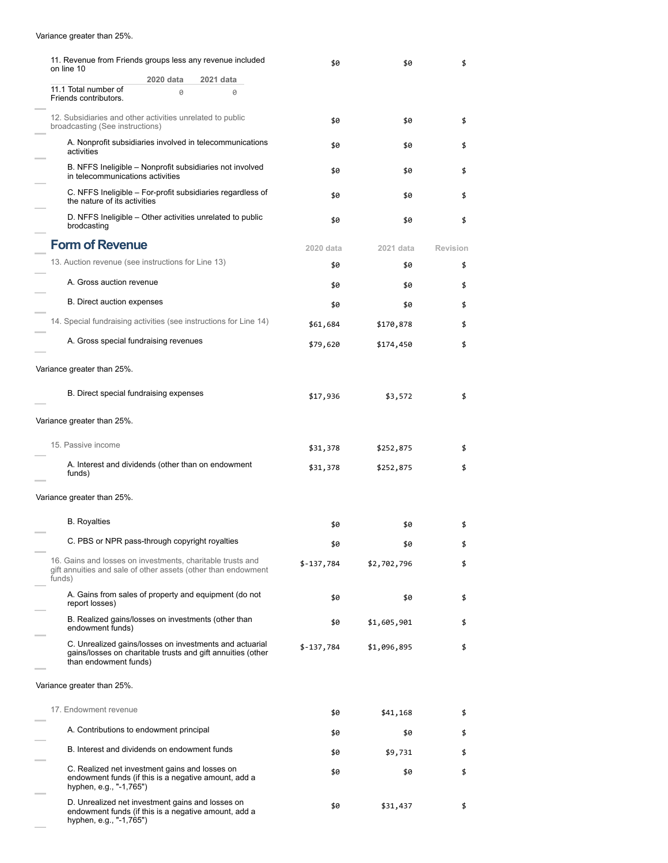## Variance greater than 25%.

 $\sim$ 

| 11. Revenue from Friends groups less any revenue included<br>on line 10                                                                         | \$0        | \$0         | \$       |
|-------------------------------------------------------------------------------------------------------------------------------------------------|------------|-------------|----------|
| 2020 data<br>2021 data                                                                                                                          |            |             |          |
| 11.1 Total number of<br>0<br>0<br>Friends contributors.                                                                                         |            |             |          |
| 12. Subsidiaries and other activities unrelated to public<br>broadcasting (See instructions)                                                    | \$0        | \$0         | \$       |
| A. Nonprofit subsidiaries involved in telecommunications<br>activities                                                                          | \$0        | \$0         | \$       |
| B. NFFS Ineligible - Nonprofit subsidiaries not involved<br>in telecommunications activities                                                    | \$0        | \$0         | \$       |
| C. NFFS Ineligible – For-profit subsidiaries regardless of<br>the nature of its activities                                                      | \$0        | \$0         | \$       |
| D. NFFS Ineligible – Other activities unrelated to public<br>brodcasting                                                                        | \$0        | \$0         | \$       |
| <b>Form of Revenue</b>                                                                                                                          | 2020 data  | 2021 data   | Revision |
| 13. Auction revenue (see instructions for Line 13)                                                                                              | \$0        | \$0         | \$       |
| A. Gross auction revenue                                                                                                                        | \$0        | \$0         | \$       |
| B. Direct auction expenses                                                                                                                      | \$0        | \$0         | \$       |
| 14. Special fundraising activities (see instructions for Line 14)                                                                               | \$61,684   | \$170,878   | \$       |
| A. Gross special fundraising revenues                                                                                                           | \$79,620   | \$174,450   | \$       |
| Variance greater than 25%.                                                                                                                      |            |             |          |
| B. Direct special fundraising expenses                                                                                                          | \$17,936   | \$3,572     | \$       |
| Variance greater than 25%.                                                                                                                      |            |             |          |
| 15. Passive income                                                                                                                              | \$31,378   | \$252,875   | \$       |
| A. Interest and dividends (other than on endowment<br>funds)                                                                                    | \$31,378   | \$252,875   | \$       |
| Variance greater than 25%.                                                                                                                      |            |             |          |
| <b>B.</b> Royalties                                                                                                                             | \$0        | \$0         | \$       |
| C. PBS or NPR pass-through copyright royalties                                                                                                  |            |             |          |
| 16. Gains and losses on investments, charitable trusts and                                                                                      | \$0        | \$0         |          |
| gift annuities and sale of other assets (other than endowment<br>funds)                                                                         | \$-137,784 | \$2,702,796 | \$       |
| A. Gains from sales of property and equipment (do not<br>report losses)                                                                         | \$0        | \$0         | \$       |
| B. Realized gains/losses on investments (other than<br>endowment funds)                                                                         | \$0        | \$1,605,901 | \$       |
| C. Unrealized gains/losses on investments and actuarial<br>gains/losses on charitable trusts and gift annuities (other<br>than endowment funds) | \$-137,784 | \$1,096,895 | \$       |
| Variance greater than 25%.                                                                                                                      |            |             |          |
| 17. Endowment revenue                                                                                                                           | \$0        | \$41,168    | \$       |
| A. Contributions to endowment principal                                                                                                         | \$0        | \$0         | \$       |
| B. Interest and dividends on endowment funds                                                                                                    | \$0        | \$9,731     | \$       |
| C. Realized net investment gains and losses on<br>endowment funds (if this is a negative amount, add a<br>hyphen, e.g., "-1,765")               | \$0        | \$0         | \$       |
| D. Unrealized net investment gains and losses on<br>endowment funds (if this is a negative amount, add a<br>hyphen, e.g., "-1,765")             | \$0        | \$31,437    | \$       |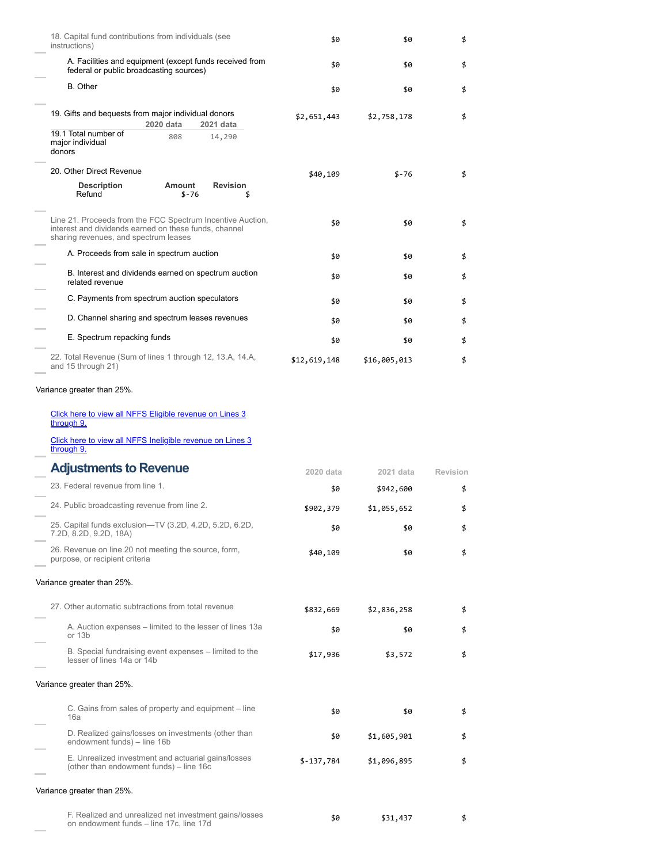| 18. Capital fund contributions from individuals (see<br>instructions)                                                                                        | \$0          | \$0          | \$       |
|--------------------------------------------------------------------------------------------------------------------------------------------------------------|--------------|--------------|----------|
| A. Facilities and equipment (except funds received from<br>federal or public broadcasting sources)                                                           | \$0          | \$0          | \$       |
| B. Other                                                                                                                                                     | \$0          | \$0          | \$       |
| 19. Gifts and bequests from major individual donors<br>2020 data<br>2021 data                                                                                | \$2,651,443  | \$2,758,178  | \$       |
| 19.1 Total number of<br>808<br>14,290<br>major individual<br>donors                                                                                          |              |              |          |
| 20. Other Direct Revenue                                                                                                                                     | \$40,109     | $$ -76$      | \$       |
| <b>Description</b><br>Amount<br><b>Revision</b><br>Refund<br>\$-76<br>\$                                                                                     |              |              |          |
| Line 21. Proceeds from the FCC Spectrum Incentive Auction,<br>interest and dividends earned on these funds, channel<br>sharing revenues, and spectrum leases | \$0          | \$0          | \$       |
| A. Proceeds from sale in spectrum auction                                                                                                                    | \$0          | \$0          | \$       |
| B. Interest and dividends earned on spectrum auction<br>related revenue                                                                                      | \$0          | \$0          | \$       |
| C. Payments from spectrum auction speculators                                                                                                                | \$0          | \$0          | \$       |
| D. Channel sharing and spectrum leases revenues                                                                                                              | \$0          | \$0          | \$       |
| E. Spectrum repacking funds                                                                                                                                  | \$0          | \$0          | \$       |
| 22. Total Revenue (Sum of lines 1 through 12, 13.A, 14.A,<br>and 15 through 21)                                                                              | \$12,619,148 | \$16,005,013 | \$       |
| Variance greater than 25%.                                                                                                                                   |              |              |          |
| Click here to view all NFFS Eligible revenue on Lines 3<br>through 9.                                                                                        |              |              |          |
| Click here to view all NFFS Ineligible revenue on Lines 3<br>through 9.                                                                                      |              |              |          |
| <b>Adjustments to Revenue</b>                                                                                                                                | 2020 data    | 2021 data    | Revision |
| 23. Federal revenue from line 1.                                                                                                                             | \$0          | \$942,600    | \$       |
| 24. Public broadcasting revenue from line 2.                                                                                                                 | \$902,379    | \$1,055,652  | \$       |
| 25. Capital funds exclusion-TV (3.2D, 4.2D, 5.2D, 6.2D,<br>7.2D, 8.2D, 9.2D, 18A)                                                                            | \$0          | \$0          | \$       |
| 26. Revenue on line 20 not meeting the source, form,<br>purpose, or recipient criteria                                                                       | \$40,109     | \$0          | \$       |
| Variance greater than 25%.                                                                                                                                   |              |              |          |
| 27. Other automatic subtractions from total revenue                                                                                                          | \$832,669    | \$2,836,258  | \$       |
| A. Auction expenses – limited to the lesser of lines 13a<br>or 13b                                                                                           | \$0          | \$0          | \$       |
| B. Special fundraising event expenses – limited to the<br>lesser of lines 14a or 14b                                                                         | \$17,936     | \$3,572      | \$       |
| Variance greater than 25%.                                                                                                                                   |              |              |          |
| C. Gains from sales of property and equipment – line<br>16a                                                                                                  | \$0          | \$0          | \$       |
| D. Realized gains/losses on investments (other than<br>endowment funds) - line 16b                                                                           | \$0          | \$1,605,901  | \$       |
| E. Unrealized investment and actuarial gains/losses<br>(other than endowment funds) – line 16c                                                               | $$-137,784$  | \$1,096,895  | \$       |
| Variance greater than 25%.                                                                                                                                   |              |              |          |
| F. Realized and unrealized net investment gains/losses<br>on endowment funds - line 17c, line 17d                                                            | \$0          | \$31,437     | \$       |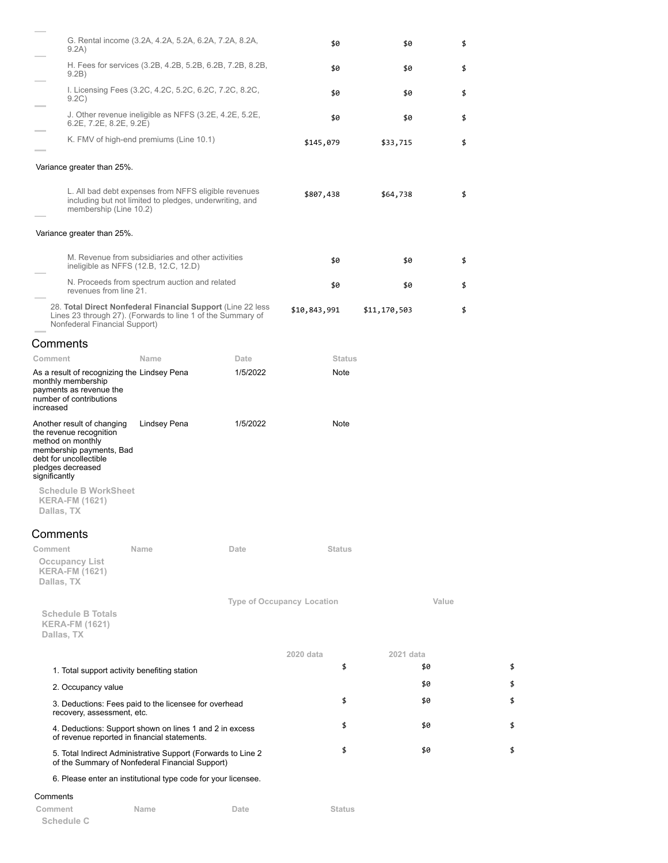| 9.2A)                                                                                                                                                                  | G. Rental income (3.2A, 4.2A, 5.2A, 6.2A, 7.2A, 8.2A,                                                                       |          | \$0                               | \$0          | \$    |    |
|------------------------------------------------------------------------------------------------------------------------------------------------------------------------|-----------------------------------------------------------------------------------------------------------------------------|----------|-----------------------------------|--------------|-------|----|
| 9.2B)                                                                                                                                                                  | H. Fees for services (3.2B, 4.2B, 5.2B, 6.2B, 7.2B, 8.2B,                                                                   |          | \$0                               | \$0          | \$    |    |
| 9.2C)                                                                                                                                                                  | I. Licensing Fees (3.2C, 4.2C, 5.2C, 6.2C, 7.2C, 8.2C,                                                                      |          | \$0                               | \$0          | \$    |    |
| $6.2E$ , $7.2E$ , $8.2E$ , $9.2E$ )                                                                                                                                    | J. Other revenue ineligible as NFFS (3.2E, 4.2E, 5.2E,                                                                      |          | \$0                               | \$0          | \$    |    |
|                                                                                                                                                                        | K. FMV of high-end premiums (Line 10.1)                                                                                     |          | \$145,079                         | \$33,715     | \$    |    |
| Variance greater than 25%.                                                                                                                                             |                                                                                                                             |          |                                   |              |       |    |
| membership (Line 10.2)                                                                                                                                                 | L. All bad debt expenses from NFFS eligible revenues<br>including but not limited to pledges, underwriting, and             |          | \$807,438                         | \$64,738     | \$    |    |
| Variance greater than 25%.                                                                                                                                             |                                                                                                                             |          |                                   |              |       |    |
|                                                                                                                                                                        | M. Revenue from subsidiaries and other activities<br>ineligible as NFFS (12.B, 12.C, 12.D)                                  |          | \$0                               | \$0          | \$    |    |
| revenues from line 21.                                                                                                                                                 | N. Proceeds from spectrum auction and related                                                                               |          | \$0                               | \$0          | \$    |    |
| Nonfederal Financial Support)                                                                                                                                          | 28. Total Direct Nonfederal Financial Support (Line 22 less)<br>Lines 23 through 27). (Forwards to line 1 of the Summary of |          | \$10,843,991                      | \$11,170,503 | \$    |    |
| Comments                                                                                                                                                               |                                                                                                                             |          |                                   |              |       |    |
| Comment                                                                                                                                                                | Name                                                                                                                        | Date     | <b>Status</b>                     |              |       |    |
| As a result of recognizing the Lindsey Pena<br>monthly membership<br>payments as revenue the<br>number of contributions<br>increased                                   |                                                                                                                             | 1/5/2022 | Note                              |              |       |    |
| Another result of changing<br>the revenue recognition<br>method on monthly<br>membership payments, Bad<br>debt for uncollectible<br>pledges decreased<br>significantly | Lindsey Pena                                                                                                                | 1/5/2022 | Note                              |              |       |    |
| <b>Schedule B WorkSheet</b><br><b>KERA-FM (1621)</b><br>Dallas, TX                                                                                                     |                                                                                                                             |          |                                   |              |       |    |
| Comments                                                                                                                                                               |                                                                                                                             |          |                                   |              |       |    |
| Comment<br><b>Occupancy List</b><br><b>KERA-FM (1621)</b><br>Dallas, TX                                                                                                | Name                                                                                                                        | Date     | <b>Status</b>                     |              |       |    |
| <b>Schedule B Totals</b><br><b>KERA-FM (1621)</b><br>Dallas, TX                                                                                                        |                                                                                                                             |          | <b>Type of Occupancy Location</b> |              | Value |    |
|                                                                                                                                                                        |                                                                                                                             |          | 2020 data                         | 2021 data    |       |    |
| 1. Total support activity benefiting station                                                                                                                           |                                                                                                                             |          | \$                                |              | \$0   | \$ |
| 2. Occupancy value                                                                                                                                                     |                                                                                                                             |          |                                   |              | \$0   | \$ |
| recovery, assessment, etc.                                                                                                                                             | 3. Deductions: Fees paid to the licensee for overhead                                                                       |          | \$                                |              | \$0   | \$ |
|                                                                                                                                                                        | 4. Deductions: Support shown on lines 1 and 2 in excess<br>of revenue reported in financial statements.                     |          | \$                                |              | \$0   | \$ |
|                                                                                                                                                                        | 5. Total Indirect Administrative Support (Forwards to Line 2)<br>of the Summary of Nonfederal Financial Support)            |          | \$                                |              | \$0   | \$ |
|                                                                                                                                                                        | 6. Please enter an institutional type code for your licensee.                                                               |          |                                   |              |       |    |
| Comments                                                                                                                                                               |                                                                                                                             |          |                                   |              |       |    |

| Comment    | Name | Date | Status |
|------------|------|------|--------|
| Schedule C |      |      |        |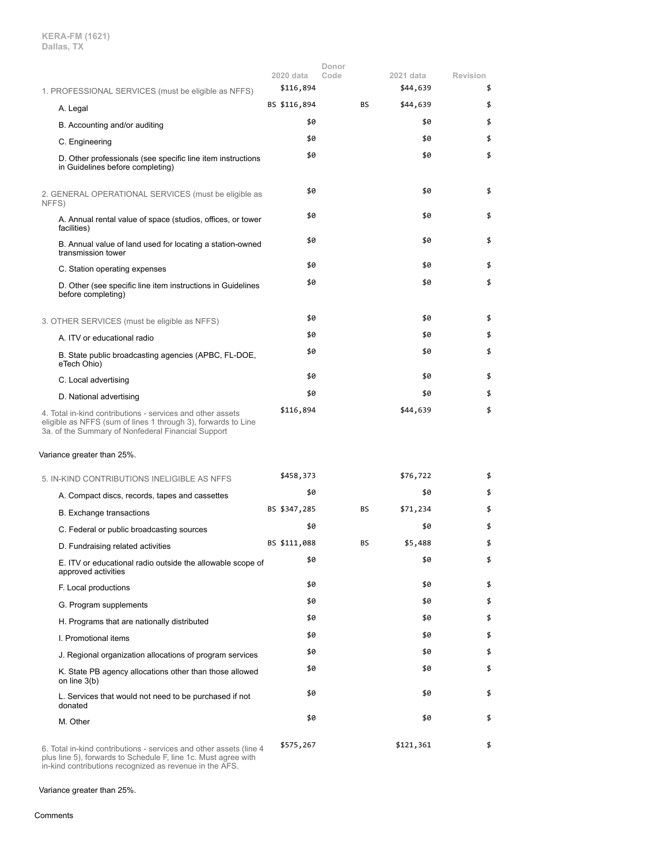|                                                                                                                                                                                   | 2020 data    | Donor<br>Code | 2021 data | Revision |
|-----------------------------------------------------------------------------------------------------------------------------------------------------------------------------------|--------------|---------------|-----------|----------|
| 1. PROFESSIONAL SERVICES (must be eligible as NFFS)                                                                                                                               | \$116,894    |               | \$44,639  | \$       |
| A. Legal                                                                                                                                                                          | BS \$116,894 | <b>BS</b>     | \$44,639  | \$       |
| B. Accounting and/or auditing                                                                                                                                                     | \$0          |               | \$0       | \$       |
| C. Engineering                                                                                                                                                                    | \$0          |               | \$0       | \$       |
| D. Other professionals (see specific line item instructions<br>in Guidelines before completing)                                                                                   | \$0          |               | \$0       | \$       |
| 2. GENERAL OPERATIONAL SERVICES (must be eligible as<br>NFFS)                                                                                                                     | \$0          |               | \$0       | \$       |
| A. Annual rental value of space (studios, offices, or tower<br>facilities)                                                                                                        | \$0          |               | \$0       | \$       |
| B. Annual value of land used for locating a station-owned<br>transmission tower                                                                                                   | \$0          |               | \$0       | \$       |
| C. Station operating expenses                                                                                                                                                     | \$0          |               | \$0       | \$       |
| D. Other (see specific line item instructions in Guidelines<br>before completing)                                                                                                 | \$0          |               | \$0       | \$       |
| 3. OTHER SERVICES (must be eligible as NFFS)                                                                                                                                      | \$0          |               | \$0       | \$       |
| A. ITV or educational radio                                                                                                                                                       | \$0          |               | \$0       | \$       |
| B. State public broadcasting agencies (APBC, FL-DOE,<br>eTech Ohio)                                                                                                               | \$0          |               | \$0       | \$       |
| C. Local advertising                                                                                                                                                              | \$0          |               | \$0       | \$       |
| D. National advertising                                                                                                                                                           | \$0          |               | \$0       | \$       |
| 4. Total in-kind contributions - services and other assets<br>eligible as NFFS (sum of lines 1 through 3), forwards to Line<br>3a. of the Summary of Nonfederal Financial Support | \$116,894    |               | \$44,639  | \$       |
| Variance greater than 25%.                                                                                                                                                        |              |               |           |          |
| 5. IN-KIND CONTRIBUTIONS INELIGIBLE AS NFFS                                                                                                                                       | \$458,373    |               | \$76,722  | \$       |
| A. Compact discs, records, tapes and cassettes                                                                                                                                    | \$0          |               | \$0       | \$       |
| B. Exchange transactions                                                                                                                                                          | BS \$347,285 | BS            | \$71,234  | \$       |
| C. Federal or public broadcasting sources                                                                                                                                         | \$0          |               | \$0       | \$       |
| D. Fundraising related activities                                                                                                                                                 | BS \$111,088 | BS            | \$5,488   | \$       |
| E. ITV or educational radio outside the allowable scope of<br>approved activities                                                                                                 | \$0          |               | \$0       | \$       |
| F. Local productions                                                                                                                                                              | \$0          |               | \$0       | \$       |
| G. Program supplements                                                                                                                                                            | \$0          |               | \$0       | \$       |
| H. Programs that are nationally distributed                                                                                                                                       | \$0          |               | \$0       | \$       |
| I. Promotional items                                                                                                                                                              | \$0          |               | \$0       | \$       |
| J. Regional organization allocations of program services                                                                                                                          | \$0          |               | \$0       | \$       |
| K. State PB agency allocations other than those allowed<br>on line 3(b)                                                                                                           | \$0          |               | \$0       | \$       |
| L. Services that would not need to be purchased if not<br>donated                                                                                                                 | \$0          |               | \$0       | \$       |
| M. Other                                                                                                                                                                          | \$0          |               | \$0       | \$       |
| 6. Total in-kind contributions - services and other assets (line 4<br>plus line 5), forwards to Schedule F, line 1c. Must agree with                                              | \$575,267    |               | \$121,361 | \$       |

in-kind contributions recognized as revenue in the AFS.

Variance greater than 25%.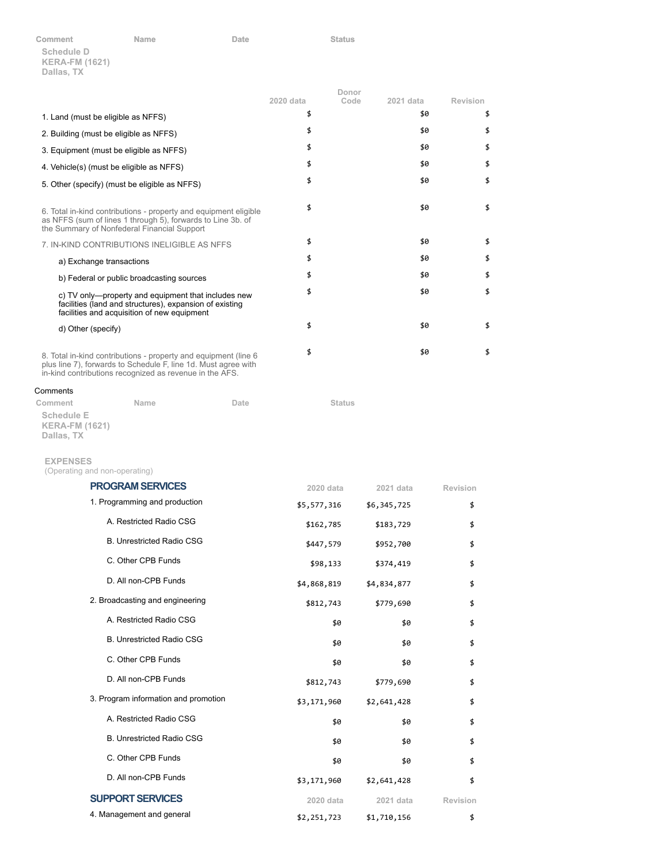| Comment                             | <b>Name</b> | Date | <b>Status</b> |
|-------------------------------------|-------------|------|---------------|
| Schedule D<br><b>KERA-FM (1621)</b> |             |      |               |
| Dallas, TX                          |             |      |               |

|                                                                                                                                                                                               |           | Donor |           |          |
|-----------------------------------------------------------------------------------------------------------------------------------------------------------------------------------------------|-----------|-------|-----------|----------|
|                                                                                                                                                                                               | 2020 data | Code  | 2021 data | Revision |
| 1. Land (must be eligible as NFFS)                                                                                                                                                            | \$        |       | \$0       | \$       |
| 2. Building (must be eligible as NFFS)                                                                                                                                                        | \$        |       | \$0       | \$       |
| 3. Equipment (must be eligible as NFFS)                                                                                                                                                       | \$        |       | \$0       | \$       |
| 4. Vehicle(s) (must be eligible as NFFS)                                                                                                                                                      | \$        |       | \$0       | \$       |
| 5. Other (specify) (must be eligible as NFFS)                                                                                                                                                 | \$        |       | \$0       | \$       |
| 6. Total in-kind contributions - property and equipment eligible<br>as NFFS (sum of lines 1 through 5), forwards to Line 3b. of<br>the Summary of Nonfederal Financial Support                | \$        |       | \$0       | \$       |
| 7. IN-KIND CONTRIBUTIONS INELIGIBLE AS NFFS                                                                                                                                                   | \$        |       | \$0       | \$       |
| a) Exchange transactions                                                                                                                                                                      | \$        |       | \$0       | \$       |
| b) Federal or public broadcasting sources                                                                                                                                                     | \$        |       | \$0       | \$       |
| c) TV only—property and equipment that includes new<br>facilities (land and structures), expansion of existing<br>facilities and acquisition of new equipment                                 | \$        |       | \$0       | \$       |
| d) Other (specify)                                                                                                                                                                            | \$        |       | \$0       | \$       |
| 8. Total in-kind contributions - property and equipment (line 6)<br>plus line 7), forwards to Schedule F, line 1d. Must agree with<br>in-kind contributions recognized as revenue in the AFS. | \$        |       | \$0       | \$       |
| Comments                                                                                                                                                                                      |           |       |           |          |

| Comment               | Name | Date | <b>Status</b> |
|-----------------------|------|------|---------------|
| <b>Schedule E</b>     |      |      |               |
| <b>KERA-FM (1621)</b> |      |      |               |
| Dallas, TX            |      |      |               |
|                       |      |      |               |

## **EXPENSES**

(Operating and non-operating)

| <b>PROGRAM SERVICES</b>              | 2020 data   | 2021 data   | Revision |
|--------------------------------------|-------------|-------------|----------|
| 1. Programming and production        | \$5,577,316 | \$6,345,725 | \$       |
| A. Restricted Radio CSG              | \$162,785   | \$183,729   | \$       |
| <b>B. Unrestricted Radio CSG</b>     | \$447,579   | \$952,700   | \$       |
| C. Other CPB Funds                   | \$98,133    | \$374,419   | \$       |
| D. All non-CPB Funds                 | \$4,868,819 | \$4,834,877 | \$       |
| 2. Broadcasting and engineering      | \$812,743   | \$779,690   | \$       |
| A. Restricted Radio CSG              | \$0         | \$0         | \$       |
| <b>B. Unrestricted Radio CSG</b>     | \$0         | \$0         | \$       |
| C. Other CPB Funds                   | \$0         | \$0         | \$       |
| D. All non-CPB Funds                 | \$812,743   | \$779,690   | \$       |
| 3. Program information and promotion | \$3,171,960 | \$2,641,428 | \$       |
| A. Restricted Radio CSG              | \$0         | \$0         | \$       |
| <b>B. Unrestricted Radio CSG</b>     | \$0         | \$0         | \$       |
| C. Other CPB Funds                   | \$0         | \$0         | \$       |
| D. All non-CPB Funds                 | \$3,171,960 | \$2,641,428 | \$       |
| <b>SUPPORT SERVICES</b>              | 2020 data   | 2021 data   | Revision |
| 4. Management and general            | \$2,251,723 | \$1,710,156 | \$       |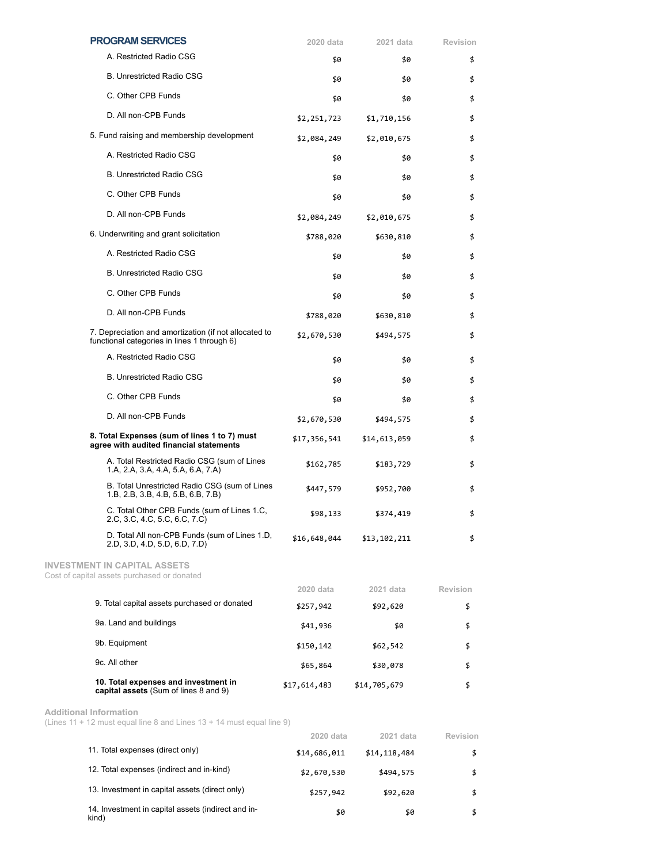|                                        | <b>PROGRAM SERVICES</b>                                                                              | 2020 data                  | 2021 data    | Revision        |
|----------------------------------------|------------------------------------------------------------------------------------------------------|----------------------------|--------------|-----------------|
|                                        | A. Restricted Radio CSG                                                                              | \$0                        | \$0          | \$              |
| <b>B. Unrestricted Radio CSG</b>       |                                                                                                      | \$0<br>\$0                 |              | \$              |
|                                        | C. Other CPB Funds                                                                                   | \$0                        | \$0          | \$              |
|                                        | D. All non-CPB Funds                                                                                 | \$2,251,723                | \$1,710,156  | \$              |
|                                        | 5. Fund raising and membership development                                                           | \$2,084,249<br>\$2,010,675 |              | \$              |
|                                        | A. Restricted Radio CSG                                                                              | \$0                        | \$0          | \$              |
| <b>B. Unrestricted Radio CSG</b>       |                                                                                                      | \$0                        | \$0          | \$              |
| C. Other CPB Funds                     |                                                                                                      | \$0                        | \$0          | \$              |
|                                        | D. All non-CPB Funds                                                                                 | \$2,084,249                | \$2,010,675  | \$              |
| 6. Underwriting and grant solicitation |                                                                                                      | \$788,020<br>\$630,810     |              | \$              |
|                                        | A. Restricted Radio CSG                                                                              | \$0                        | \$0          | \$              |
| <b>B. Unrestricted Radio CSG</b>       |                                                                                                      | \$0                        | \$0          | \$              |
|                                        | C. Other CPB Funds                                                                                   | \$0                        | \$0          | \$              |
| D. All non-CPB Funds                   |                                                                                                      | \$788,020<br>\$630,810     |              | \$              |
|                                        | 7. Depreciation and amortization (if not allocated to<br>functional categories in lines 1 through 6) | \$2,670,530                | \$494,575    | \$              |
|                                        | A. Restricted Radio CSG                                                                              | \$0                        | \$0          | \$              |
|                                        | <b>B. Unrestricted Radio CSG</b>                                                                     | \$0                        | \$0          | \$              |
|                                        | C. Other CPB Funds                                                                                   | \$0                        | \$0          | \$              |
| D. All non-CPB Funds                   |                                                                                                      | \$2,670,530                | \$494,575    | \$              |
|                                        | 8. Total Expenses (sum of lines 1 to 7) must<br>agree with audited financial statements              | \$17,356,541               | \$14,613,059 | \$              |
|                                        | A. Total Restricted Radio CSG (sum of Lines<br>1.A, 2.A, 3.A, 4.A, 5.A, 6.A, 7.A)                    | \$162,785                  | \$183,729    | \$              |
|                                        | B. Total Unrestricted Radio CSG (sum of Lines<br>1.B, 2.B, 3.B, 4.B, 5.B, 6.B, 7.B)                  | \$447,579                  | \$952,700    | \$              |
|                                        | C. Total Other CPB Funds (sum of Lines 1.C,<br>2.C, 3.C, 4.C, 5.C, 6.C, 7.C)                         | \$98,133                   | \$374,419    | \$              |
|                                        | D. Total All non-CPB Funds (sum of Lines 1.D,<br>2.D, 3.D, 4.D, 5.D, 6.D, 7.D)                       | \$16,648,044               | \$13,102,211 | \$              |
|                                        | <b>INVESTMENT IN CAPITAL ASSETS</b><br>Cost of capital assets purchased or donated                   |                            |              |                 |
|                                        |                                                                                                      | 2020 data                  | 2021 data    | <b>Revision</b> |
|                                        | 9. Total capital assets purchased or donated                                                         | \$257,942                  | \$92,620     | \$              |
|                                        | 9a. Land and buildings                                                                               | \$41,936                   | \$0          | \$              |
|                                        | 9b. Equipment                                                                                        | \$150,142                  | \$62,542     | \$              |
|                                        | 9c. All other                                                                                        | \$65,864                   | \$30,078     | \$              |
|                                        | 10. Total expenses and investment in<br>capital assets (Sum of lines 8 and 9)                        | \$17,614,483               | \$14,705,679 | \$              |
|                                        |                                                                                                      |                            |              |                 |

**Additional Information**

(Lines 11 + 12 must equal line 8 and Lines 13 + 14 must equal line 9)

|                                                             | 2020 data    | 2021 data    | Revision |
|-------------------------------------------------------------|--------------|--------------|----------|
| 11. Total expenses (direct only)                            | \$14,686,011 | \$14,118,484 |          |
| 12. Total expenses (indirect and in-kind)                   | \$2,670,530  | \$494,575    | \$       |
| 13. Investment in capital assets (direct only)              | \$257,942    | \$92,620     | \$       |
| 14. Investment in capital assets (indirect and in-<br>kind) | \$0          | \$0          | S        |